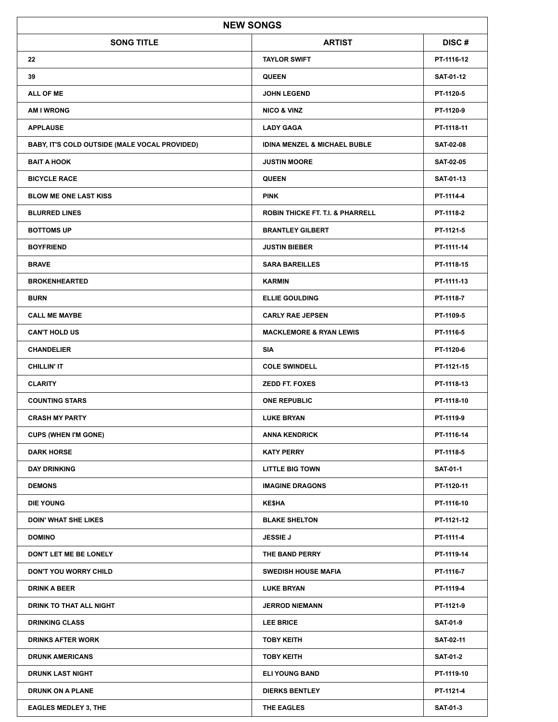|                                               | <b>NEW SONGS</b>                            |                  |
|-----------------------------------------------|---------------------------------------------|------------------|
| <b>SONG TITLE</b>                             | <b>ARTIST</b>                               | DISC#            |
| 22                                            | <b>TAYLOR SWIFT</b>                         | PT-1116-12       |
| 39                                            | <b>QUEEN</b>                                | <b>SAT-01-12</b> |
| <b>ALL OF ME</b>                              | <b>JOHN LEGEND</b>                          | PT-1120-5        |
| <b>AM I WRONG</b>                             | <b>NICO &amp; VINZ</b>                      | PT-1120-9        |
| <b>APPLAUSE</b>                               | <b>LADY GAGA</b>                            | PT-1118-11       |
| BABY, IT'S COLD OUTSIDE (MALE VOCAL PROVIDED) | <b>IDINA MENZEL &amp; MICHAEL BUBLE</b>     | <b>SAT-02-08</b> |
| <b>BAIT A HOOK</b>                            | <b>JUSTIN MOORE</b>                         | <b>SAT-02-05</b> |
| <b>BICYCLE RACE</b>                           | <b>QUEEN</b>                                | <b>SAT-01-13</b> |
| <b>BLOW ME ONE LAST KISS</b>                  | <b>PINK</b>                                 | PT-1114-4        |
| <b>BLURRED LINES</b>                          | <b>ROBIN THICKE FT. T.I. &amp; PHARRELL</b> | PT-1118-2        |
| <b>BOTTOMS UP</b>                             | <b>BRANTLEY GILBERT</b>                     | PT-1121-5        |
| <b>BOYFRIEND</b>                              | <b>JUSTIN BIEBER</b>                        | PT-1111-14       |
| <b>BRAVE</b>                                  | <b>SARA BAREILLES</b>                       | PT-1118-15       |
| <b>BROKENHEARTED</b>                          | <b>KARMIN</b>                               | PT-1111-13       |
| <b>BURN</b>                                   | <b>ELLIE GOULDING</b>                       | PT-1118-7        |
| <b>CALL ME MAYBE</b>                          | <b>CARLY RAE JEPSEN</b>                     | PT-1109-5        |
| <b>CAN'T HOLD US</b>                          | <b>MACKLEMORE &amp; RYAN LEWIS</b>          | PT-1116-5        |
| <b>CHANDELIER</b>                             | SIA                                         | PT-1120-6        |
| <b>CHILLIN'IT</b>                             | <b>COLE SWINDELL</b>                        | PT-1121-15       |
| <b>CLARITY</b>                                | <b>ZEDD FT. FOXES</b>                       | PT-1118-13       |
| <b>COUNTING STARS</b>                         | <b>ONE REPUBLIC</b>                         | PT-1118-10       |
| <b>CRASH MY PARTY</b>                         | <b>LUKE BRYAN</b>                           | PT-1119-9        |
| <b>CUPS (WHEN I'M GONE)</b>                   | <b>ANNA KENDRICK</b>                        | PT-1116-14       |
| <b>DARK HORSE</b>                             | <b>KATY PERRY</b>                           | PT-1118-5        |
| <b>DAY DRINKING</b>                           | <b>LITTLE BIG TOWN</b>                      | <b>SAT-01-1</b>  |
| <b>DEMONS</b>                                 | <b>IMAGINE DRAGONS</b>                      | PT-1120-11       |
| <b>DIE YOUNG</b>                              | <b>KESHA</b>                                | PT-1116-10       |
| <b>DOIN' WHAT SHE LIKES</b>                   | <b>BLAKE SHELTON</b>                        | PT-1121-12       |
| <b>DOMINO</b>                                 | <b>JESSIE J</b>                             | PT-1111-4        |
| DON'T LET ME BE LONELY                        | THE BAND PERRY                              | PT-1119-14       |
| <b>DON'T YOU WORRY CHILD</b>                  | <b>SWEDISH HOUSE MAFIA</b>                  | PT-1116-7        |
| <b>DRINK A BEER</b>                           | <b>LUKE BRYAN</b>                           | PT-1119-4        |
| DRINK TO THAT ALL NIGHT                       | <b>JERROD NIEMANN</b>                       | PT-1121-9        |
| <b>DRINKING CLASS</b>                         | <b>LEE BRICE</b>                            | <b>SAT-01-9</b>  |
| <b>DRINKS AFTER WORK</b>                      | <b>TOBY KEITH</b>                           | SAT-02-11        |
| <b>DRUNK AMERICANS</b>                        | <b>TOBY KEITH</b>                           | <b>SAT-01-2</b>  |
| <b>DRUNK LAST NIGHT</b>                       | <b>ELI YOUNG BAND</b>                       | PT-1119-10       |
| <b>DRUNK ON A PLANE</b>                       | <b>DIERKS BENTLEY</b>                       | PT-1121-4        |
| <b>EAGLES MEDLEY 3, THE</b>                   | THE EAGLES                                  | <b>SAT-01-3</b>  |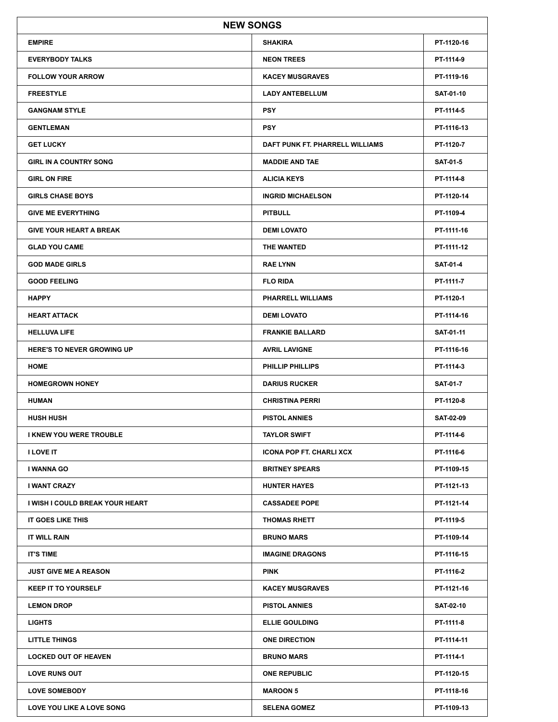|                                   | <b>NEW SONGS</b>                |                  |
|-----------------------------------|---------------------------------|------------------|
| <b>EMPIRE</b>                     | <b>SHAKIRA</b>                  | PT-1120-16       |
| <b>EVERYBODY TALKS</b>            | <b>NEON TREES</b>               | PT-1114-9        |
| <b>FOLLOW YOUR ARROW</b>          | <b>KACEY MUSGRAVES</b>          | PT-1119-16       |
| <b>FREESTYLE</b>                  | <b>LADY ANTEBELLUM</b>          | <b>SAT-01-10</b> |
| <b>GANGNAM STYLE</b>              | <b>PSY</b>                      | PT-1114-5        |
| <b>GENTLEMAN</b>                  | <b>PSY</b>                      | PT-1116-13       |
| <b>GET LUCKY</b>                  | DAFT PUNK FT. PHARRELL WILLIAMS | PT-1120-7        |
| <b>GIRL IN A COUNTRY SONG</b>     | <b>MADDIE AND TAE</b>           | <b>SAT-01-5</b>  |
| <b>GIRL ON FIRE</b>               | <b>ALICIA KEYS</b>              | PT-1114-8        |
| <b>GIRLS CHASE BOYS</b>           | <b>INGRID MICHAELSON</b>        | PT-1120-14       |
| <b>GIVE ME EVERYTHING</b>         | <b>PITBULL</b>                  | PT-1109-4        |
| <b>GIVE YOUR HEART A BREAK</b>    | <b>DEMI LOVATO</b>              | PT-1111-16       |
| <b>GLAD YOU CAME</b>              | THE WANTED                      | PT-1111-12       |
| <b>GOD MADE GIRLS</b>             | <b>RAE LYNN</b>                 | <b>SAT-01-4</b>  |
| <b>GOOD FEELING</b>               | <b>FLO RIDA</b>                 | PT-1111-7        |
| <b>HAPPY</b>                      | <b>PHARRELL WILLIAMS</b>        | PT-1120-1        |
| <b>HEART ATTACK</b>               | <b>DEMI LOVATO</b>              | PT-1114-16       |
| <b>HELLUVA LIFE</b>               | <b>FRANKIE BALLARD</b>          | SAT-01-11        |
| <b>HERE'S TO NEVER GROWING UP</b> | <b>AVRIL LAVIGNE</b>            | PT-1116-16       |
| <b>HOME</b>                       | <b>PHILLIP PHILLIPS</b>         | PT-1114-3        |
| <b>HOMEGROWN HONEY</b>            | <b>DARIUS RUCKER</b>            | <b>SAT-01-7</b>  |
| <b>HUMAN</b>                      | <b>CHRISTINA PERRI</b>          | PT-1120-8        |
| <b>HUSH HUSH</b>                  | <b>PISTOL ANNIES</b>            | <b>SAT-02-09</b> |
| I KNEW YOU WERE TROUBLE           | <b>TAYLOR SWIFT</b>             | PT-1114-6        |
| <b>I LOVE IT</b>                  | <b>ICONA POP FT. CHARLI XCX</b> | PT-1116-6        |
| I WANNA GO                        | <b>BRITNEY SPEARS</b>           | PT-1109-15       |
| I WANT CRAZY                      | <b>HUNTER HAYES</b>             | PT-1121-13       |
| I WISH I COULD BREAK YOUR HEART   | <b>CASSADEE POPE</b>            | PT-1121-14       |
| IT GOES LIKE THIS                 | <b>THOMAS RHETT</b>             | PT-1119-5        |
| IT WILL RAIN                      | <b>BRUNO MARS</b>               | PT-1109-14       |
| <b>IT'S TIME</b>                  | <b>IMAGINE DRAGONS</b>          | PT-1116-15       |
| <b>JUST GIVE ME A REASON</b>      | <b>PINK</b>                     | PT-1116-2        |
| <b>KEEP IT TO YOURSELF</b>        | <b>KACEY MUSGRAVES</b>          | PT-1121-16       |
| <b>LEMON DROP</b>                 | <b>PISTOL ANNIES</b>            | <b>SAT-02-10</b> |
| <b>LIGHTS</b>                     | <b>ELLIE GOULDING</b>           | PT-1111-8        |
| <b>LITTLE THINGS</b>              | <b>ONE DIRECTION</b>            | PT-1114-11       |
| <b>LOCKED OUT OF HEAVEN</b>       | <b>BRUNO MARS</b>               | PT-1114-1        |
| <b>LOVE RUNS OUT</b>              | <b>ONE REPUBLIC</b>             | PT-1120-15       |
| <b>LOVE SOMEBODY</b>              | <b>MAROON 5</b>                 | PT-1118-16       |
| LOVE YOU LIKE A LOVE SONG         | <b>SELENA GOMEZ</b>             | PT-1109-13       |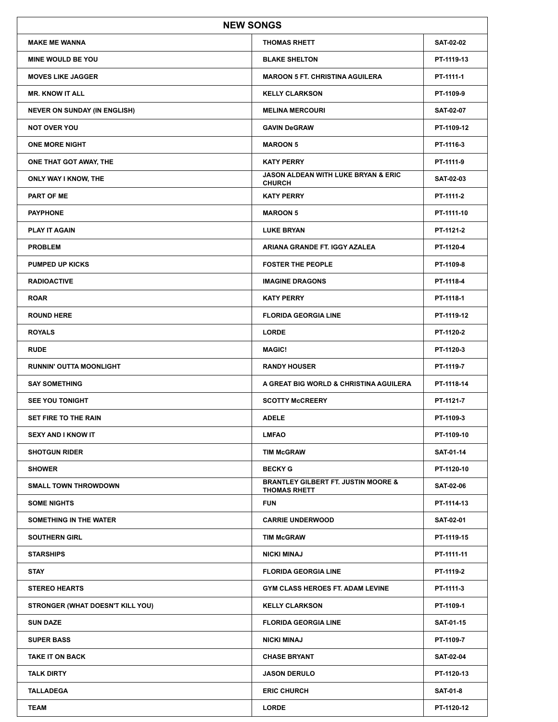|                                     | <b>NEW SONGS</b>                                                      |                  |
|-------------------------------------|-----------------------------------------------------------------------|------------------|
| <b>MAKE ME WANNA</b>                | <b>THOMAS RHETT</b>                                                   | <b>SAT-02-02</b> |
| <b>MINE WOULD BE YOU</b>            | <b>BLAKE SHELTON</b>                                                  | PT-1119-13       |
| <b>MOVES LIKE JAGGER</b>            | <b>MAROON 5 FT. CHRISTINA AGUILERA</b>                                | PT-1111-1        |
| <b>MR. KNOW IT ALL</b>              | <b>KELLY CLARKSON</b>                                                 | PT-1109-9        |
| <b>NEVER ON SUNDAY (IN ENGLISH)</b> | <b>MELINA MERCOURI</b>                                                | <b>SAT-02-07</b> |
| <b>NOT OVER YOU</b>                 | <b>GAVIN DeGRAW</b>                                                   | PT-1109-12       |
| <b>ONE MORE NIGHT</b>               | <b>MAROON 5</b>                                                       | PT-1116-3        |
| ONE THAT GOT AWAY, THE              | <b>KATY PERRY</b>                                                     | PT-1111-9        |
| ONLY WAY I KNOW, THE                | <b>JASON ALDEAN WITH LUKE BRYAN &amp; ERIC</b><br><b>CHURCH</b>       | <b>SAT-02-03</b> |
| <b>PART OF ME</b>                   | <b>KATY PERRY</b>                                                     | PT-1111-2        |
| <b>PAYPHONE</b>                     | <b>MAROON 5</b>                                                       | PT-1111-10       |
| <b>PLAY IT AGAIN</b>                | <b>LUKE BRYAN</b>                                                     | PT-1121-2        |
| <b>PROBLEM</b>                      | ARIANA GRANDE FT. IGGY AZALEA                                         | PT-1120-4        |
| <b>PUMPED UP KICKS</b>              | <b>FOSTER THE PEOPLE</b>                                              | PT-1109-8        |
| <b>RADIOACTIVE</b>                  | <b>IMAGINE DRAGONS</b>                                                | PT-1118-4        |
| <b>ROAR</b>                         | <b>KATY PERRY</b>                                                     | PT-1118-1        |
| <b>ROUND HERE</b>                   | <b>FLORIDA GEORGIA LINE</b>                                           | PT-1119-12       |
| <b>ROYALS</b>                       | <b>LORDE</b>                                                          | PT-1120-2        |
| <b>RUDE</b>                         | <b>MAGIC!</b>                                                         | PT-1120-3        |
| <b>RUNNIN' OUTTA MOONLIGHT</b>      | <b>RANDY HOUSER</b>                                                   | PT-1119-7        |
| <b>SAY SOMETHING</b>                | A GREAT BIG WORLD & CHRISTINA AGUILERA                                | PT-1118-14       |
| <b>SEE YOU TONIGHT</b>              | <b>SCOTTY McCREERY</b>                                                | PT-1121-7        |
| <b>SET FIRE TO THE RAIN</b>         | <b>ADELE</b>                                                          | PT-1109-3        |
| <b>SEXY AND I KNOW IT</b>           | <b>LMFAO</b>                                                          | PT-1109-10       |
| <b>SHOTGUN RIDER</b>                | <b>TIM McGRAW</b>                                                     | <b>SAT-01-14</b> |
| <b>SHOWER</b>                       | <b>BECKY G</b>                                                        | PT-1120-10       |
| <b>SMALL TOWN THROWDOWN</b>         | <b>BRANTLEY GILBERT FT. JUSTIN MOORE &amp;</b><br><b>THOMAS RHETT</b> | <b>SAT-02-06</b> |
| <b>SOME NIGHTS</b>                  | <b>FUN</b>                                                            | PT-1114-13       |
| SOMETHING IN THE WATER              | <b>CARRIE UNDERWOOD</b>                                               | <b>SAT-02-01</b> |
| <b>SOUTHERN GIRL</b>                | <b>TIM McGRAW</b>                                                     | PT-1119-15       |
| <b>STARSHIPS</b>                    | <b>NICKI MINAJ</b>                                                    | PT-1111-11       |
| <b>STAY</b>                         | <b>FLORIDA GEORGIA LINE</b>                                           | PT-1119-2        |
| <b>STEREO HEARTS</b>                | <b>GYM CLASS HEROES FT. ADAM LEVINE</b>                               | PT-1111-3        |
| STRONGER (WHAT DOESN'T KILL YOU)    | <b>KELLY CLARKSON</b>                                                 | PT-1109-1        |
| <b>SUN DAZE</b>                     | <b>FLORIDA GEORGIA LINE</b>                                           | <b>SAT-01-15</b> |
| <b>SUPER BASS</b>                   | <b>NICKI MINAJ</b>                                                    | PT-1109-7        |
| <b>TAKE IT ON BACK</b>              | <b>CHASE BRYANT</b>                                                   | <b>SAT-02-04</b> |
| <b>TALK DIRTY</b>                   | <b>JASON DERULO</b>                                                   | PT-1120-13       |
| <b>TALLADEGA</b>                    | <b>ERIC CHURCH</b>                                                    | <b>SAT-01-8</b>  |
| <b>TEAM</b>                         | <b>LORDE</b>                                                          | PT-1120-12       |